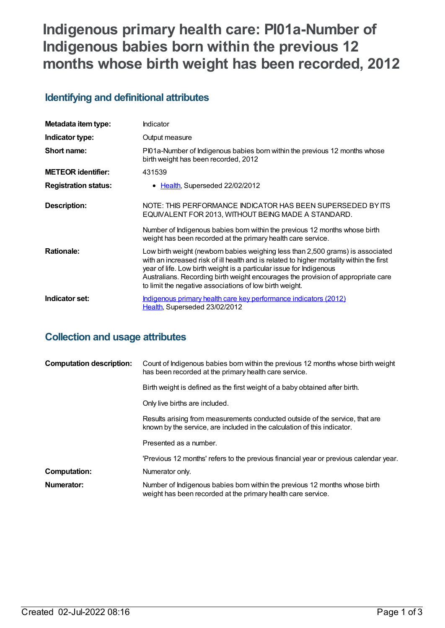# **Indigenous primary health care: PI01a-Number of Indigenous babies born within the previous 12 months whose birth weight has been recorded, 2012**

## **Identifying and definitional attributes**

| Metadata item type:         | Indicator                                                                                                                                                                                                                                                                                                                                                                                        |
|-----------------------------|--------------------------------------------------------------------------------------------------------------------------------------------------------------------------------------------------------------------------------------------------------------------------------------------------------------------------------------------------------------------------------------------------|
| Indicator type:             | Output measure                                                                                                                                                                                                                                                                                                                                                                                   |
| Short name:                 | Pl01a-Number of Indigenous babies born within the previous 12 months whose<br>birth weight has been recorded, 2012                                                                                                                                                                                                                                                                               |
| <b>METEOR</b> identifier:   | 431539                                                                                                                                                                                                                                                                                                                                                                                           |
| <b>Registration status:</b> | • Health, Superseded 22/02/2012                                                                                                                                                                                                                                                                                                                                                                  |
| Description:                | NOTE: THIS PERFORMANCE INDICATOR HAS BEEN SUPERSEDED BY ITS<br>EQUIVALENT FOR 2013, WITHOUT BEING MADE A STANDARD.                                                                                                                                                                                                                                                                               |
|                             | Number of Indigenous babies born within the previous 12 months whose birth<br>weight has been recorded at the primary health care service.                                                                                                                                                                                                                                                       |
| <b>Rationale:</b>           | Low birth weight (newborn babies weighing less than 2,500 grams) is associated<br>with an increased risk of ill health and is related to higher mortality within the first<br>year of life. Low birth weight is a particular issue for Indigenous<br>Australians. Recording birth weight encourages the provision of appropriate care<br>to limit the negative associations of low birth weight. |
| Indicator set:              | Indigenous primary health care key performance indicators (2012)<br><u> Health,</u> Superseded 23/02/2012                                                                                                                                                                                                                                                                                        |

## **Collection and usage attributes**

| <b>Computation description:</b> | Count of Indigenous babies born within the previous 12 months whose birth weight<br>has been recorded at the primary health care service.                |
|---------------------------------|----------------------------------------------------------------------------------------------------------------------------------------------------------|
|                                 | Birth weight is defined as the first weight of a baby obtained after birth.                                                                              |
|                                 | Only live births are included.                                                                                                                           |
|                                 | Results arising from measurements conducted outside of the service, that are<br>known by the service, are included in the calculation of this indicator. |
|                                 | Presented as a number.                                                                                                                                   |
|                                 | 'Previous 12 months' refers to the previous financial year or previous calendar year.                                                                    |
| <b>Computation:</b>             | Numerator only.                                                                                                                                          |
| Numerator:                      | Number of Indigenous babies born within the previous 12 months whose birth<br>weight has been recorded at the primary health care service.               |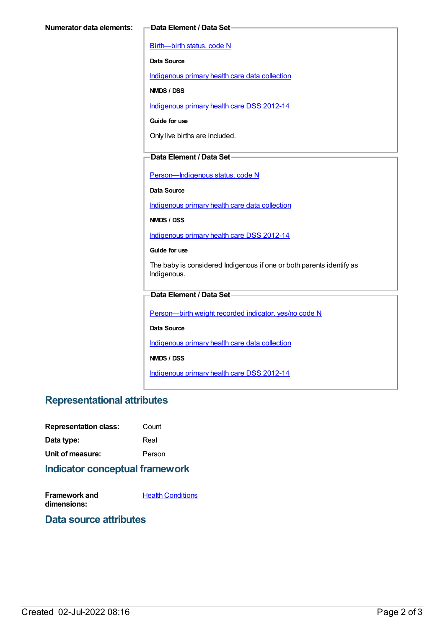[Birth—birth](https://meteor.aihw.gov.au/content/269949) status, code N

**Data Source**

[Indigenous](https://meteor.aihw.gov.au/content/430643) primary health care data collection

**NMDS / DSS**

[Indigenous](https://meteor.aihw.gov.au/content/430629) primary health care DSS 2012-14

**Guide for use**

Only live births are included.

#### **Data Element / Data Set**

Person-Indigenous status, code N

**Data Source**

[Indigenous](https://meteor.aihw.gov.au/content/430643) primary health care data collection

**NMDS / DSS**

[Indigenous](https://meteor.aihw.gov.au/content/430629) primary health care DSS 2012-14

**Guide for use**

The baby is considered Indigenous if one or both parents identify as Indigenous.

#### **Data Element / Data Set**

[Person—birth](https://meteor.aihw.gov.au/content/441701) weight recorded indicator, yes/no code N

**Data Source**

[Indigenous](https://meteor.aihw.gov.au/content/430643) primary health care data collection

**NMDS / DSS**

[Indigenous](https://meteor.aihw.gov.au/content/430629) primary health care DSS 2012-14

### **Representational attributes**

| <b>Representation class:</b> | Count  |
|------------------------------|--------|
| Data type:                   | Real   |
| Unit of measure:             | Person |

### **Indicator conceptual framework**

**Framework and dimensions:**

**Health [Conditions](https://meteor.aihw.gov.au/content/410650)** 

#### **Data source attributes**